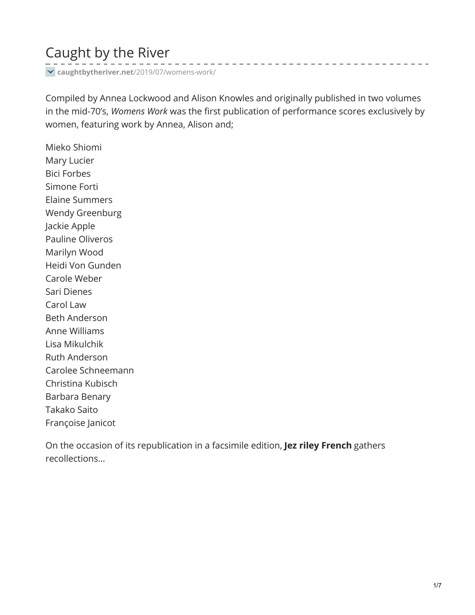# Caught by the River

**caughtbytheriver.net**[/2019/07/womens-work/](https://www.caughtbytheriver.net/2019/07/womens-work/)

Compiled by Annea Lockwood and Alison Knowles and originally published in two volumes in the mid-70's, *Womens Work* was the first publication of performance scores exclusively by women, featuring work by Annea, Alison and;

----------------------------

Mieko Shiomi Mary Lucier Bici Forbes Simone Forti Elaine Summers Wendy Greenburg Jackie Apple Pauline Oliveros Marilyn Wood Heidi Von Gunden Carole Weber Sari Dienes Carol Law Beth Anderson Anne Williams Lisa Mikulchik Ruth Anderson Carolee Schneemann Christina Kubisch Barbara Benary Takako Saito Françoise Janicot

On the occasion of its republication in a facsimile edition, **Jez riley French** gathers recollections…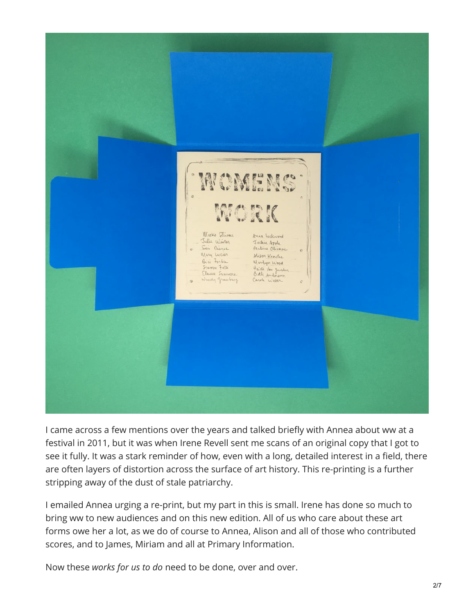

I came across a few mentions over the years and talked briefly with Annea about ww at a festival in 2011, but it was when Irene Revell sent me scans of an original copy that I got to see it fully. It was a stark reminder of how, even with a long, detailed interest in a field, there are often layers of distortion across the surface of art history. This re-printing is a further stripping away of the dust of stale patriarchy.

I emailed Annea urging a re-print, but my part in this is small. Irene has done so much to bring ww to new audiences and on this new edition. All of us who care about these art forms owe her a lot, as we do of course to Annea, Alison and all of those who contributed scores, and to James, Miriam and all at Primary Information.

Now these *works for us to do* need to be done, over and over.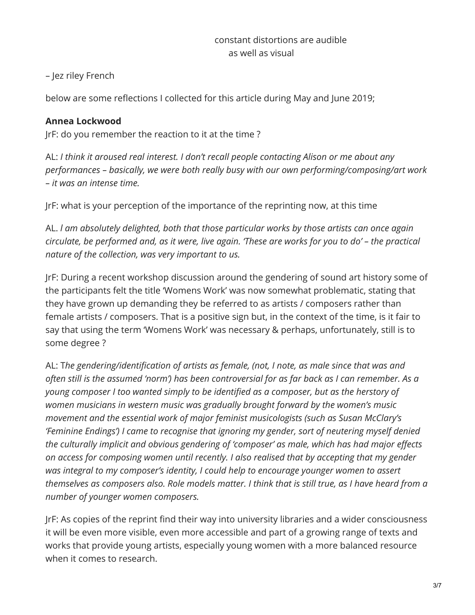– Jez riley French

below are some reflections I collected for this article during May and June 2019;

## **Annea Lockwood**

JrF: do you remember the reaction to it at the time ?

AL: *I think it aroused real interest. I don't recall people contacting Alison or me about any performances – basically, we were both really busy with our own performing/composing/art work – it was an intense time.*

JrF: what is your perception of the importance of the reprinting now, at this time

AL. *l am absolutely delighted, both that those particular works by those artists can once again* circulate, be performed and, as it were, live again. 'These are works for you to do' - the practical *nature of the collection, was very important to us.*

JrF: During a recent workshop discussion around the gendering of sound art history some of the participants felt the title 'Womens Work' was now somewhat problematic, stating that they have grown up demanding they be referred to as artists / composers rather than female artists / composers. That is a positive sign but, in the context of the time, is it fair to say that using the term 'Womens Work' was necessary & perhaps, unfortunately, still is to some degree ?

AL: T*he gendering/identification of artists as female, (not, I note, as male since that was and* often still is the assumed 'norm') has been controversial for as far back as I can remember. As a *young composer I too wanted simply to be identified as a composer, but as the herstory of women musicians in western music was gradually brought forward by the women's music movement and the essential work of major feminist musicologists (such as Susan McClary's 'Feminine Endings') I came to recognise that ignoring my gender, sort of neutering myself denied the culturally implicit and obvious gendering of 'composer' as male, which has had major effects on access for composing women until recently. I also realised that by accepting that my gender was integral to my composer's identity, I could help to encourage younger women to assert* themselves as composers also. Role models matter. I think that is still true, as I have heard from a *number of younger women composers.*

JrF: As copies of the reprint find their way into university libraries and a wider consciousness it will be even more visible, even more accessible and part of a growing range of texts and works that provide young artists, especially young women with a more balanced resource when it comes to research.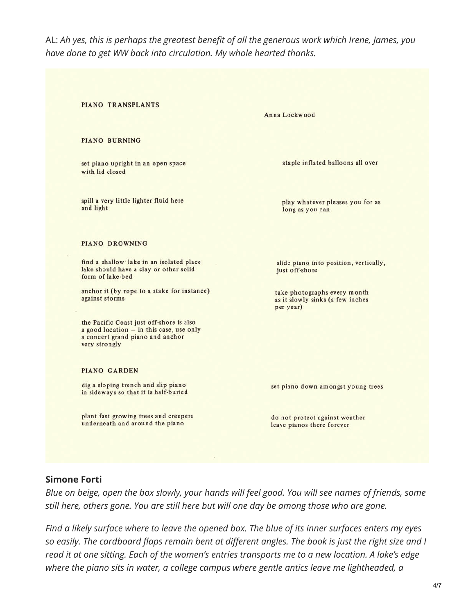AL: *Ah yes, this is perhaps the greatest benefit of all the generous work which Irene, James, you have done to get WW back into circulation. My whole hearted thanks.*

**PIANO BURNING** set piano upright in an open space with lid closed

PIANO TRANSPLANTS

spill a very little lighter fluid here and light

#### **PIANO DROWNING**

find a shallow lake in an isolated place lake should have a clay or other solid form of lake-bed

anchor it (by rope to a stake for instance) against storms

the Pacific Coast just off-shore is also a good location - in this case, use only a concert grand piano and anchor very strongly

#### **PIANO GARDEN**

dig a sloping trench and slip piano in sideways so that it is half-buried

plant fast growing trees and creepers underneath and around the piano

Anna Lockwood

staple inflated balloons all over

play whatever pleases you for as long as you can

slide piano into position, vertically, just off-shore

take photographs every month as it slowly sinks (a few inches per year)

set piano down amongst young trees

do not protect against weather leave pianos there forever

### **Simone Forti**

Blue on beige, open the box slowly, your hands will feel good. You will see names of friends, some *still here, others gone. You are still here but will one day be among those who are gone.*

Find a likely surface where to leave the opened box. The blue of its inner surfaces enters my eyes so easily. The cardboard flaps remain bent at different angles. The book is just the right size and I read it at one sitting. Each of the women's entries transports me to a new location. A lake's edge *where the piano sits in water, a college campus where gentle antics leave me lightheaded, a*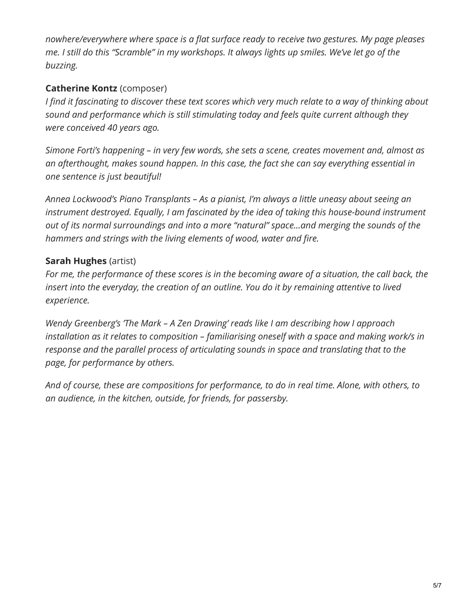*nowhere/everywhere where space is a flat surface ready to receive two gestures. My page pleases* me. I still do this "Scramble" in my workshops. It always lights up smiles. We've let go of the *buzzing.*

# **Catherine Kontz** (composer)

I find it fascinating to discover these text scores which very much relate to a way of thinking about *sound and performance which is still stimulating today and feels quite current although they were conceived 40 years ago.*

*Simone Forti's happening – in very few words, she sets a scene, creates movement and, almost as an afterthought, makes sound happen. In this case, the fact she can say everything essential in one sentence is just beautiful!*

*Annea Lockwood's Piano Transplants – As a pianist, I'm always a little uneasy about seeing an instrument destroyed. Equally, I am fascinated by the idea of taking this house-bound instrument out of its normal surroundings and into a more "natural" space…and merging the sounds of the hammers and strings with the living elements of wood, water and fire.*

# **Sarah Hughes** (artist)

For me, the performance of these scores is in the becoming aware of a situation, the call back, the *insert into the everyday, the creation of an outline. You do it by remaining attentive to lived experience.*

*Wendy Greenberg's 'The Mark – A Zen Drawing' reads like I am describing how I approach installation as it relates to composition – familiarising oneself with a space and making work/s in response and the parallel process of articulating sounds in space and translating that to the page, for performance by others.*

*And of course, these are compositions for performance, to do in real time. Alone, with others, to an audience, in the kitchen, outside, for friends, for passersby.*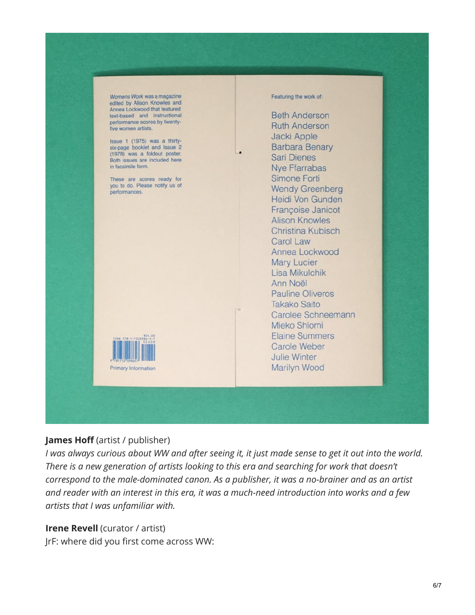Womens Work was a magazine edited by Alison Knowles and Annea Lockwood that featured text-based and instructional performance scores by twentyfive women artists.

Issue 1 (1975) was a thirtysix-page booklet and Issue 2 (1978) was a foldout poster. Both issues are included here in facsimile form.

These are scores ready for you to do. Please notify us of performances.



#### Featuring the work of:

**Beth Anderson Ruth Anderson** Jacki Apple **Barbara Benary Sari Dienes Nve Ffarrabas** Simone Forti **Wendy Greenberg** Heidi Von Gunden Françoise Janicot **Alison Knowles** Christina Kubisch Carol Law Annea Lockwood **Mary Lucier** Lisa Mikulchik Ann Noël **Pauline Oliveros Takako Saito** Carolee Schneemann Mieko Shiomi **Elaine Summers** Carole Weber Julie Winter Marilyn Wood

### **James Hoff** (artist / publisher)

I was always curious about WW and after seeing it, it just made sense to get it out into the world. *There is a new generation of artists looking to this era and searching for work that doesn't correspond to the male-dominated canon. As a publisher, it was a no-brainer and as an artist and reader with an interest in this era, it was a much-need introduction into works and a few artists that I was unfamiliar with.*

### **Irene Revell** (curator / artist)

JrF: where did you first come across WW: